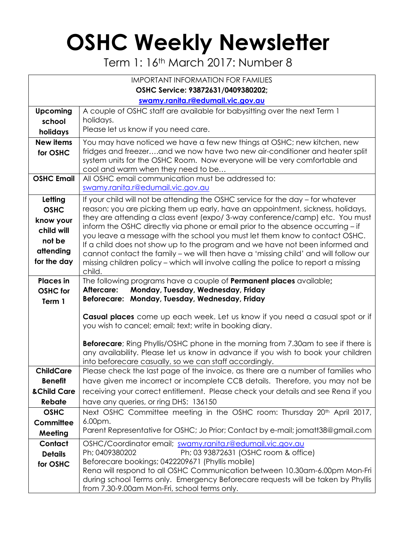## **OSHC Weekly Newsletter**

Term 1: 16<sup>th</sup> March 2017: Number 8

| <b>IMPORTANT INFORMATION FOR FAMILIES</b> |                                                                                                                                                                     |  |  |  |  |  |
|-------------------------------------------|---------------------------------------------------------------------------------------------------------------------------------------------------------------------|--|--|--|--|--|
| OSHC Service: 93872631/0409380202;        |                                                                                                                                                                     |  |  |  |  |  |
| swamy.ranita.r@edumail.vic.gov.au         |                                                                                                                                                                     |  |  |  |  |  |
| <b>Upcoming</b>                           | A couple of OSHC staff are available for babysitting over the next Term 1                                                                                           |  |  |  |  |  |
| school                                    | holidays.                                                                                                                                                           |  |  |  |  |  |
| holidays                                  | Please let us know if you need care.                                                                                                                                |  |  |  |  |  |
| <b>New items</b>                          | You may have noticed we have a few new things at OSHC; new kitchen, new                                                                                             |  |  |  |  |  |
| for OSHC                                  | fridges and freezerand we now have two new air-conditioner and heater split                                                                                         |  |  |  |  |  |
|                                           | system units for the OSHC Room. Now everyone will be very comfortable and<br>cool and warm when they need to be                                                     |  |  |  |  |  |
| <b>OSHC Email</b>                         | All OSHC email communication must be addressed to:                                                                                                                  |  |  |  |  |  |
|                                           | swamy.ranita.r@edumail.vic.gov.au                                                                                                                                   |  |  |  |  |  |
| Letting                                   | If your child will not be attending the OSHC service for the day – for whatever                                                                                     |  |  |  |  |  |
| <b>OSHC</b>                               | reason; you are picking them up early, have an appointment, sickness, holidays,                                                                                     |  |  |  |  |  |
| know your                                 | they are attending a class event (expo/3-way conference/camp) etc. You must                                                                                         |  |  |  |  |  |
| child will                                | inform the OSHC directly via phone or email prior to the absence occurring – if                                                                                     |  |  |  |  |  |
| not be                                    | you leave a message with the school you must let them know to contact OSHC.                                                                                         |  |  |  |  |  |
| attending                                 | If a child does not show up to the program and we have not been informed and<br>cannot contact the family - we will then have a 'missing child' and will follow our |  |  |  |  |  |
| for the day                               | missing children policy – which will involve calling the police to report a missing                                                                                 |  |  |  |  |  |
|                                           | child.                                                                                                                                                              |  |  |  |  |  |
| <b>Places</b> in                          | The following programs have a couple of <b>Permanent places</b> available;                                                                                          |  |  |  |  |  |
| <b>OSHC</b> for                           | Monday, Tuesday, Wednesday, Friday<br>Aftercare:                                                                                                                    |  |  |  |  |  |
| Term 1                                    | Beforecare: Monday, Tuesday, Wednesday, Friday                                                                                                                      |  |  |  |  |  |
|                                           | Casual places come up each week. Let us know if you need a casual spot or if                                                                                        |  |  |  |  |  |
|                                           | you wish to cancel; email; text; write in booking diary.                                                                                                            |  |  |  |  |  |
|                                           |                                                                                                                                                                     |  |  |  |  |  |
|                                           | <b>Beforecare</b> ; Ring Phyllis/OSHC phone in the morning from 7.30am to see if there is                                                                           |  |  |  |  |  |
|                                           | any availability. Please let us know in advance if you wish to book your children                                                                                   |  |  |  |  |  |
| <b>ChildCare</b>                          | into beforecare casually, so we can staff accordingly.<br>Please check the last page of the invoice, as there are a number of families who                          |  |  |  |  |  |
| <b>Benefit</b>                            | have given me incorrect or incomplete CCB details. Therefore, you may not be                                                                                        |  |  |  |  |  |
| & Child Care                              | receiving your correct entitlement. Please check your details and see Rena if you                                                                                   |  |  |  |  |  |
| Rebate                                    | have any queries, or ring DHS: 136150                                                                                                                               |  |  |  |  |  |
| <b>OSHC</b>                               | Next OSHC Committee meeting in the OSHC room: Thursday 20 <sup>th</sup> April 2017,                                                                                 |  |  |  |  |  |
| Committee                                 | 6.00pm.                                                                                                                                                             |  |  |  |  |  |
| Meeting                                   | Parent Representative for OSHC; Jo Prior; Contact by e-mail; jomatt38@gmail.com                                                                                     |  |  |  |  |  |
| Contact                                   | OSHC/Coordinator email; swamy.ranita.r@edumail.vic.gov.au                                                                                                           |  |  |  |  |  |
| <b>Details</b>                            | Ph; 03 93872631 (OSHC room & office)<br>Ph; 0409380202                                                                                                              |  |  |  |  |  |
| for OSHC                                  | Beforecare bookings; 0422209671 (Phyllis mobile)                                                                                                                    |  |  |  |  |  |
|                                           | Rena will respond to all OSHC Communication between 10.30am-6.00pm Mon-Fri                                                                                          |  |  |  |  |  |
|                                           | during school Terms only. Emergency Beforecare requests will be taken by Phyllis<br>from 7.30-9.00am Mon-Fri, school terms only.                                    |  |  |  |  |  |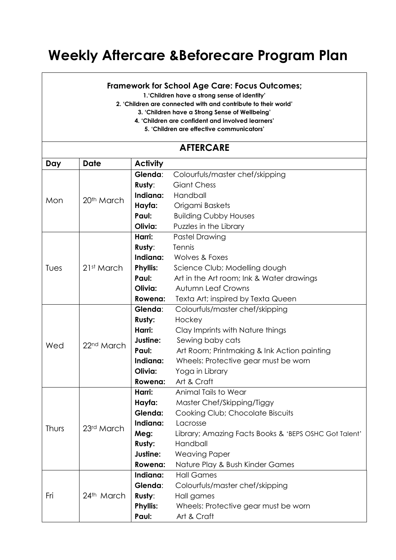## **Weekly Aftercare &Beforecare Program Plan**

## **Framework for School Age Care: Focus Outcomes;**

**1.'Children have a strong sense of identity'**

- **2. 'Children are connected with and contribute to their world'**
	- **3. 'Children have a Strong Sense of Wellbeing'**
	- **4. 'Children are confident and involved learners'**
		- **5. 'Children are effective communicators'**

| <b>AFTERCARE</b> |                        |                 |                                                       |  |  |  |  |
|------------------|------------------------|-----------------|-------------------------------------------------------|--|--|--|--|
| Day              | <b>Date</b>            | <b>Activity</b> |                                                       |  |  |  |  |
| Mon              | 20 <sup>th</sup> March | Glenda:         | Colourfuls/master chef/skipping                       |  |  |  |  |
|                  |                        | Rusty:          | <b>Giant Chess</b>                                    |  |  |  |  |
|                  |                        | Indiana:        | Handball                                              |  |  |  |  |
|                  |                        | Hayfa:          | Origami Baskets                                       |  |  |  |  |
|                  |                        | Paul:           | <b>Building Cubby Houses</b>                          |  |  |  |  |
|                  |                        | Olivia:         | Puzzles in the Library                                |  |  |  |  |
| Tues             | 21st March             | Harri:          | <b>Pastel Drawing</b>                                 |  |  |  |  |
|                  |                        | Rusty:          | Tennis                                                |  |  |  |  |
|                  |                        | Indiana:        | Wolves & Foxes                                        |  |  |  |  |
|                  |                        | <b>Phyllis:</b> | Science Club; Modelling dough                         |  |  |  |  |
|                  |                        | Paul:           | Art in the Art room; Ink & Water drawings             |  |  |  |  |
|                  |                        | Olivia:         | <b>Autumn Leaf Crowns</b>                             |  |  |  |  |
|                  |                        | Rowena:         | Texta Art; inspired by Texta Queen                    |  |  |  |  |
|                  | 22 <sup>nd</sup> March | Glenda:         | Colourfuls/master chef/skipping                       |  |  |  |  |
| Wed              |                        | Rusty:          | Hockey                                                |  |  |  |  |
|                  |                        | Harri:          | Clay Imprints with Nature things                      |  |  |  |  |
|                  |                        | Justine:        | Sewing baby cats                                      |  |  |  |  |
|                  |                        | Paul:           | Art Room; Printmaking & Ink Action painting           |  |  |  |  |
|                  |                        | Indiana:        | Wheels: Protective gear must be worn                  |  |  |  |  |
|                  |                        | Olivia:         | Yoga in Library                                       |  |  |  |  |
|                  |                        | Rowena:         | Art & Craft                                           |  |  |  |  |
| Thurs            | 23rd March             | Harri:          | Animal Tails to Wear                                  |  |  |  |  |
|                  |                        | Hayfa:          | Master Chef/Skipping/Tiggy                            |  |  |  |  |
|                  |                        | Glenda:         | Cooking Club; Chocolate Biscuits                      |  |  |  |  |
|                  |                        | Indiana:        | Lacrosse                                              |  |  |  |  |
|                  |                        | Meg:            | Library; Amazing Facts Books & 'BEPS OSHC Got Talent' |  |  |  |  |
|                  |                        | Rusty:          | Handball                                              |  |  |  |  |
|                  |                        | Justine:        | <b>Weaving Paper</b>                                  |  |  |  |  |
|                  |                        | Rowena:         | Nature Play & Bush Kinder Games                       |  |  |  |  |
| Fri              | 24th March             | Indiana:        | <b>Hall Games</b>                                     |  |  |  |  |
|                  |                        | Glenda:         | Colourfuls/master chef/skipping                       |  |  |  |  |
|                  |                        | Rusty:          | Hall games                                            |  |  |  |  |
|                  |                        | <b>Phyllis:</b> | Wheels: Protective gear must be worn                  |  |  |  |  |
|                  |                        | Paul:           | Art & Craft                                           |  |  |  |  |